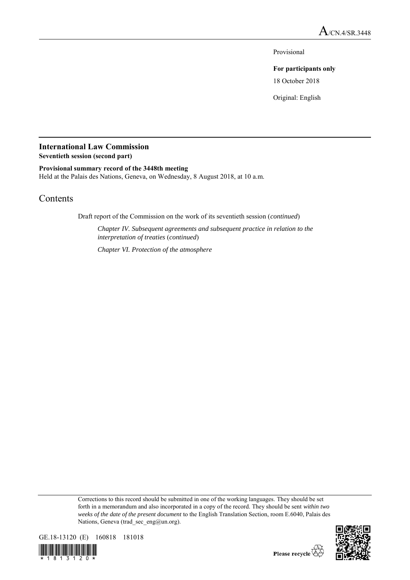Provisional

## **For participants only**

18 October 2018

Original: English

# **International Law Commission**

**Seventieth session (second part)**

## **Provisional summary record of the 3448th meeting**

Held at the Palais des Nations, Geneva, on Wednesday, 8 August 2018, at 10 a.m.

# Contents

Draft report of the Commission on the work of its seventieth session (*continued*)

*Chapter IV. Subsequent agreements and subsequent practice in relation to the interpretation of treaties* (*continued*)

*Chapter VI. Protection of the atmosphere*

Corrections to this record should be submitted in one of the working languages. They should be set forth in a memorandum and also incorporated in a copy of the record. They should be sent *within two weeks of the date of the present document* to the English Translation Section, room E.6040, Palais des Nations, Geneva (trad sec eng $(\partial \text{un.org})$ ).



8 1 3 1 2 0

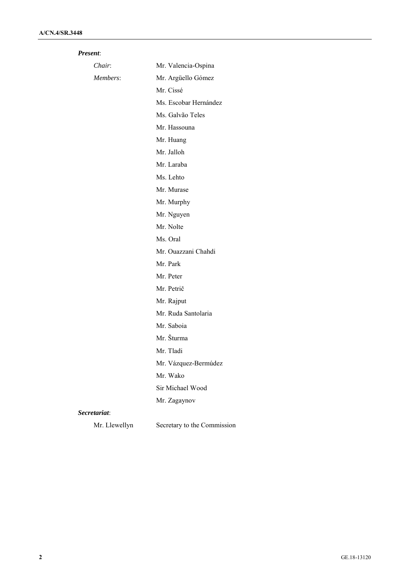| Present:      |                             |
|---------------|-----------------------------|
| Chair:        | Mr. Valencia-Ospina         |
| Members:      | Mr. Argüello Gómez          |
|               | Mr. Cissé                   |
|               | Ms. Escobar Hernández       |
|               | Ms. Galvão Teles            |
|               | Mr. Hassouna                |
|               | Mr. Huang                   |
|               | Mr. Jalloh                  |
|               | Mr. Laraba                  |
|               | Ms. Lehto                   |
|               | Mr. Murase                  |
|               | Mr. Murphy                  |
|               | Mr. Nguyen                  |
|               | Mr. Nolte                   |
|               | Ms. Oral                    |
|               | Mr. Ouazzani Chahdi         |
|               | Mr. Park                    |
|               | Mr. Peter                   |
|               | Mr. Petrič                  |
|               | Mr. Rajput                  |
|               | Mr. Ruda Santolaria         |
|               | Mr. Saboia                  |
|               | Mr. Šturma                  |
|               | Mr. Tladi                   |
|               | Mr. Vázquez-Bermúdez        |
|               | Mr. Wako                    |
|               | Sir Michael Wood            |
|               | Mr. Zagaynov                |
| Secretariat:  |                             |
| Mr. Llewellyn | Secretary to the Commission |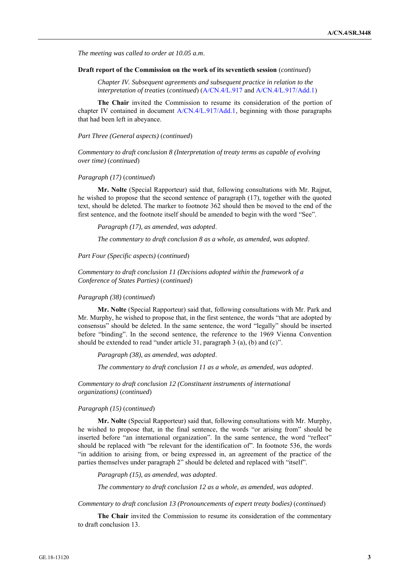*The meeting was called to order at 10.05 a.m*.

#### **Draft report of the Commission on the work of its seventieth session** (*continued*)

*Chapter IV. Subsequent agreements and subsequent practice in relation to the interpretation of treaties* (*continued*) (A/CN.4/L.917 and A/CN.4/L.917/Add.1)

**The Chair** invited the Commission to resume its consideration of the portion of chapter IV contained in document A/CN.4/L.917/Add.1, beginning with those paragraphs that had been left in abeyance.

*Part Three (General aspects)* (*continued*)

*Commentary to draft conclusion 8 (Interpretation of treaty terms as capable of evolving over time)* (*continued*)

#### *Paragraph (17)* (*continued*)

**Mr. Nolte** (Special Rapporteur) said that, following consultations with Mr. Rajput, he wished to propose that the second sentence of paragraph (17), together with the quoted text, should be deleted. The marker to footnote 362 should then be moved to the end of the first sentence, and the footnote itself should be amended to begin with the word "See".

*Paragraph (17), as amended, was adopted*.

*The commentary to draft conclusion 8 as a whole, as amended, was adopted*.

*Part Four (Specific aspects)* (*continued*)

*Commentary to draft conclusion 11 (Decisions adopted within the framework of a Conference of States Parties)* (*continued*)

#### *Paragraph (38)* (*continued*)

**Mr. Nolte** (Special Rapporteur) said that, following consultations with Mr. Park and Mr. Murphy, he wished to propose that, in the first sentence, the words "that are adopted by consensus" should be deleted. In the same sentence, the word "legally" should be inserted before "binding". In the second sentence, the reference to the 1969 Vienna Convention should be extended to read "under article 31, paragraph 3 (a), (b) and (c)".

*Paragraph (38), as amended, was adopted*.

*The commentary to draft conclusion 11 as a whole, as amended, was adopted*.

*Commentary to draft conclusion 12 (Constituent instruments of international organizations)* (*continued*)

#### *Paragraph (15)* (*continued*)

**Mr. Nolte** (Special Rapporteur) said that, following consultations with Mr. Murphy, he wished to propose that, in the final sentence, the words "or arising from" should be inserted before "an international organization". In the same sentence, the word "reflect" should be replaced with "be relevant for the identification of". In footnote 536, the words "in addition to arising from, or being expressed in, an agreement of the practice of the parties themselves under paragraph 2" should be deleted and replaced with "itself".

*Paragraph (15), as amended, was adopted*.

*The commentary to draft conclusion 12 as a whole, as amended, was adopted*.

*Commentary to draft conclusion 13 (Pronouncements of expert treaty bodies)* (*continued*)

**The Chair** invited the Commission to resume its consideration of the commentary to draft conclusion 13.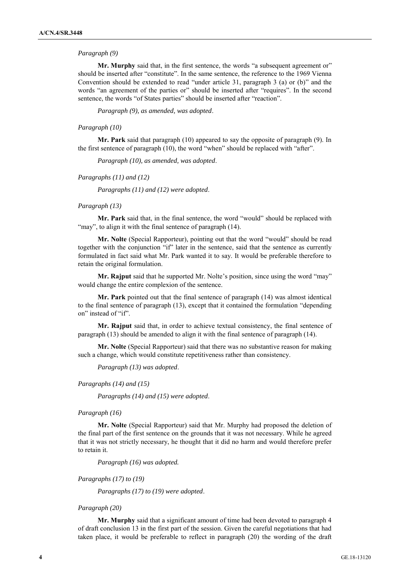#### *Paragraph (9)*

**Mr. Murphy** said that, in the first sentence, the words "a subsequent agreement or" should be inserted after "constitute". In the same sentence, the reference to the 1969 Vienna Convention should be extended to read "under article 31, paragraph 3 (a) or (b)" and the words "an agreement of the parties or" should be inserted after "requires". In the second sentence, the words "of States parties" should be inserted after "reaction".

*Paragraph (9), as amended, was adopted*.

#### *Paragraph (10)*

**Mr. Park** said that paragraph (10) appeared to say the opposite of paragraph (9). In the first sentence of paragraph (10), the word "when" should be replaced with "after".

*Paragraph (10), as amended, was adopted*.

#### *Paragraphs (11) and (12)*

*Paragraphs (11) and (12) were adopted*.

#### *Paragraph (13)*

**Mr. Park** said that, in the final sentence, the word "would" should be replaced with "may", to align it with the final sentence of paragraph (14).

**Mr. Nolte** (Special Rapporteur), pointing out that the word "would" should be read together with the conjunction "if" later in the sentence, said that the sentence as currently formulated in fact said what Mr. Park wanted it to say. It would be preferable therefore to retain the original formulation.

**Mr. Rajput** said that he supported Mr. Nolte's position, since using the word "may" would change the entire complexion of the sentence.

**Mr. Park** pointed out that the final sentence of paragraph (14) was almost identical to the final sentence of paragraph (13), except that it contained the formulation "depending on" instead of "if".

**Mr. Rajput** said that, in order to achieve textual consistency, the final sentence of paragraph (13) should be amended to align it with the final sentence of paragraph (14).

**Mr. Nolte** (Special Rapporteur) said that there was no substantive reason for making such a change, which would constitute repetitiveness rather than consistency.

*Paragraph (13) was adopted*.

*Paragraphs (14) and (15)*

*Paragraphs (14) and (15) were adopted*.

#### *Paragraph (16)*

**Mr. Nolte** (Special Rapporteur) said that Mr. Murphy had proposed the deletion of the final part of the first sentence on the grounds that it was not necessary. While he agreed that it was not strictly necessary, he thought that it did no harm and would therefore prefer to retain it.

*Paragraph (16) was adopted.*

*Paragraphs (17) to (19)*

*Paragraphs (17) to (19) were adopted*.

#### *Paragraph (20)*

**Mr. Murphy** said that a significant amount of time had been devoted to paragraph 4 of draft conclusion 13 in the first part of the session. Given the careful negotiations that had taken place, it would be preferable to reflect in paragraph (20) the wording of the draft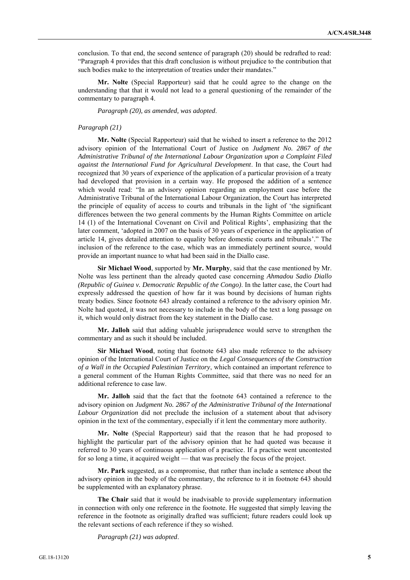conclusion. To that end, the second sentence of paragraph (20) should be redrafted to read: "Paragraph 4 provides that this draft conclusion is without prejudice to the contribution that such bodies make to the interpretation of treaties under their mandates."

**Mr. Nolte** (Special Rapporteur) said that he could agree to the change on the understanding that that it would not lead to a general questioning of the remainder of the commentary to paragraph 4.

*Paragraph (20), as amended, was adopted*.

#### *Paragraph (21)*

**Mr. Nolte** (Special Rapporteur) said that he wished to insert a reference to the 2012 advisory opinion of the International Court of Justice on *Judgment No. 2867 of the Administrative Tribunal of the International Labour Organization upon a Complaint Filed against the International Fund for Agricultural Development*. In that case, the Court had recognized that 30 years of experience of the application of a particular provision of a treaty had developed that provision in a certain way. He proposed the addition of a sentence which would read: "In an advisory opinion regarding an employment case before the Administrative Tribunal of the International Labour Organization, the Court has interpreted the principle of equality of access to courts and tribunals in the light of 'the significant differences between the two general comments by the Human Rights Committee on article 14 (1) of the International Covenant on Civil and Political Rights', emphasizing that the later comment, 'adopted in 2007 on the basis of 30 years of experience in the application of article 14, gives detailed attention to equality before domestic courts and tribunals'." The inclusion of the reference to the case, which was an immediately pertinent source, would provide an important nuance to what had been said in the Diallo case.

**Sir Michael Wood**, supported by **Mr. Murphy**, said that the case mentioned by Mr. Nolte was less pertinent than the already quoted case concerning *Ahmadou Sadio Diallo (Republic of Guinea v. Democratic Republic of the Congo)*. In the latter case, the Court had expressly addressed the question of how far it was bound by decisions of human rights treaty bodies. Since footnote 643 already contained a reference to the advisory opinion Mr. Nolte had quoted, it was not necessary to include in the body of the text a long passage on it, which would only distract from the key statement in the Diallo case.

**Mr. Jalloh** said that adding valuable jurisprudence would serve to strengthen the commentary and as such it should be included.

**Sir Michael Wood**, noting that footnote 643 also made reference to the advisory opinion of the International Court of Justice on the *Legal Consequences of the Construction of a Wall in the Occupied Palestinian Territory*, which contained an important reference to a general comment of the Human Rights Committee, said that there was no need for an additional reference to case law.

**Mr. Jalloh** said that the fact that the footnote 643 contained a reference to the advisory opinion on *Judgment No. 2867 of the Administrative Tribunal of the International Labour Organization* did not preclude the inclusion of a statement about that advisory opinion in the text of the commentary, especially if it lent the commentary more authority.

**Mr. Nolte** (Special Rapporteur) said that the reason that he had proposed to highlight the particular part of the advisory opinion that he had quoted was because it referred to 30 years of continuous application of a practice. If a practice went uncontested for so long a time, it acquired weight — that was precisely the focus of the project.

**Mr. Park** suggested, as a compromise, that rather than include a sentence about the advisory opinion in the body of the commentary, the reference to it in footnote 643 should be supplemented with an explanatory phrase.

**The Chair** said that it would be inadvisable to provide supplementary information in connection with only one reference in the footnote. He suggested that simply leaving the reference in the footnote as originally drafted was sufficient; future readers could look up the relevant sections of each reference if they so wished.

*Paragraph (21) was adopted*.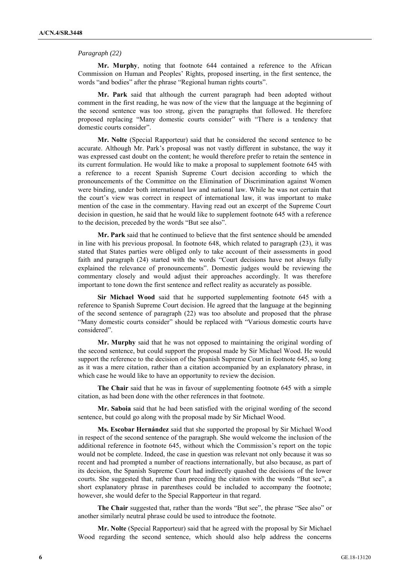#### *Paragraph (22)*

**Mr. Murphy**, noting that footnote 644 contained a reference to the African Commission on Human and Peoples' Rights, proposed inserting, in the first sentence, the words "and bodies" after the phrase "Regional human rights courts".

**Mr. Park** said that although the current paragraph had been adopted without comment in the first reading, he was now of the view that the language at the beginning of the second sentence was too strong, given the paragraphs that followed. He therefore proposed replacing "Many domestic courts consider" with "There is a tendency that domestic courts consider".

**Mr. Nolte** (Special Rapporteur) said that he considered the second sentence to be accurate. Although Mr. Park's proposal was not vastly different in substance, the way it was expressed cast doubt on the content; he would therefore prefer to retain the sentence in its current formulation. He would like to make a proposal to supplement footnote 645 with a reference to a recent Spanish Supreme Court decision according to which the pronouncements of the Committee on the Elimination of Discrimination against Women were binding, under both international law and national law. While he was not certain that the court's view was correct in respect of international law, it was important to make mention of the case in the commentary. Having read out an excerpt of the Supreme Court decision in question, he said that he would like to supplement footnote 645 with a reference to the decision, preceded by the words "But see also".

**Mr. Park** said that he continued to believe that the first sentence should be amended in line with his previous proposal. In footnote 648, which related to paragraph (23), it was stated that States parties were obliged only to take account of their assessments in good faith and paragraph (24) started with the words "Court decisions have not always fully explained the relevance of pronouncements". Domestic judges would be reviewing the commentary closely and would adjust their approaches accordingly. It was therefore important to tone down the first sentence and reflect reality as accurately as possible.

**Sir Michael Wood** said that he supported supplementing footnote 645 with a reference to Spanish Supreme Court decision. He agreed that the language at the beginning of the second sentence of paragraph (22) was too absolute and proposed that the phrase "Many domestic courts consider" should be replaced with "Various domestic courts have considered".

**Mr. Murphy** said that he was not opposed to maintaining the original wording of the second sentence, but could support the proposal made by Sir Michael Wood. He would support the reference to the decision of the Spanish Supreme Court in footnote 645, so long as it was a mere citation, rather than a citation accompanied by an explanatory phrase, in which case he would like to have an opportunity to review the decision.

**The Chair** said that he was in favour of supplementing footnote 645 with a simple citation, as had been done with the other references in that footnote.

**Mr. Saboia** said that he had been satisfied with the original wording of the second sentence, but could go along with the proposal made by Sir Michael Wood.

**Ms. Escobar Hernández** said that she supported the proposal by Sir Michael Wood in respect of the second sentence of the paragraph. She would welcome the inclusion of the additional reference in footnote 645, without which the Commission's report on the topic would not be complete. Indeed, the case in question was relevant not only because it was so recent and had prompted a number of reactions internationally, but also because, as part of its decision, the Spanish Supreme Court had indirectly quashed the decisions of the lower courts. She suggested that, rather than preceding the citation with the words "But see", a short explanatory phrase in parentheses could be included to accompany the footnote; however, she would defer to the Special Rapporteur in that regard.

**The Chair** suggested that, rather than the words "But see", the phrase "See also" or another similarly neutral phrase could be used to introduce the footnote.

**Mr. Nolte** (Special Rapporteur) said that he agreed with the proposal by Sir Michael Wood regarding the second sentence, which should also help address the concerns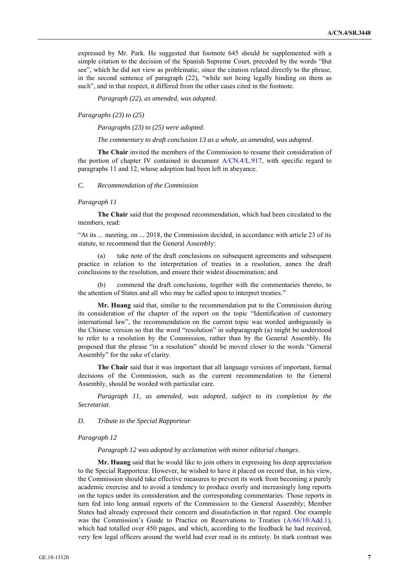expressed by Mr. Park. He suggested that footnote 645 should be supplemented with a simple citation to the decision of the Spanish Supreme Court, preceded by the words "But see", which he did not view as problematic, since the citation related directly to the phrase, in the second sentence of paragraph (22), "while not being legally binding on them as such", and in that respect, it differed from the other cases cited in the footnote.

*Paragraph (22), as amended, was adopted*.

*Paragraphs (23) to (25)*

*Paragraphs (23) to (25) were adopted*.

*The commentary to draft conclusion 13 as a whole, as amended, was adopted*.

**The Chair** invited the members of the Commission to resume their consideration of the portion of chapter IV contained in document A/CN.4/L.917, with specific regard to paragraphs 11 and 12, whose adoption had been left in abeyance.

#### *C. Recommendation of the Commission*

#### *Paragraph 11*

**The Chair** said that the proposed recommendation, which had been circulated to the members, read:

"At its ... meeting, on ... 2018, the Commission decided, in accordance with article 23 of its statute, to recommend that the General Assembly:

(a) take note of the draft conclusions on subsequent agreements and subsequent practice in relation to the interpretation of treaties in a resolution, annex the draft conclusions to the resolution, and ensure their widest dissemination; and

(b) commend the draft conclusions, together with the commentaries thereto, to the attention of States and all who may be called upon to interpret treaties."

**Mr. Huang** said that, similar to the recommendation put to the Commission during its consideration of the chapter of the report on the topic "Identification of customary international law", the recommendation on the current topic was worded ambiguously in the Chinese version so that the word "resolution" in subparagraph (a) might be understood to refer to a resolution by the Commission, rather than by the General Assembly. He proposed that the phrase "in a resolution" should be moved closer to the words "General Assembly" for the sake of clarity.

**The Chair** said that it was important that all language versions of important, formal decisions of the Commission, such as the current recommendation to the General Assembly, should be worded with particular care.

*Paragraph 11, as amended, was adopted, subject to its completion by the Secretariat*.

*D. Tribute to the Special Rapporteur*

#### *Paragraph 12*

*Paragraph 12 was adopted by acclamation with minor editorial changes*.

**Mr. Huang** said that he would like to join others in expressing his deep appreciation to the Special Rapporteur. However, he wished to have it placed on record that, in his view, the Commission should take effective measures to prevent its work from becoming a purely academic exercise and to avoid a tendency to produce overly and increasingly long reports on the topics under its consideration and the corresponding commentaries. Those reports in turn fed into long annual reports of the Commission to the General Assembly; Member States had already expressed their concern and dissatisfaction in that regard. One example was the Commission's Guide to Practice on Reservations to Treaties (A/66/10/Add.1), which had totalled over 450 pages, and which, according to the feedback he had received, very few legal officers around the world had ever read in its entirety. In stark contrast was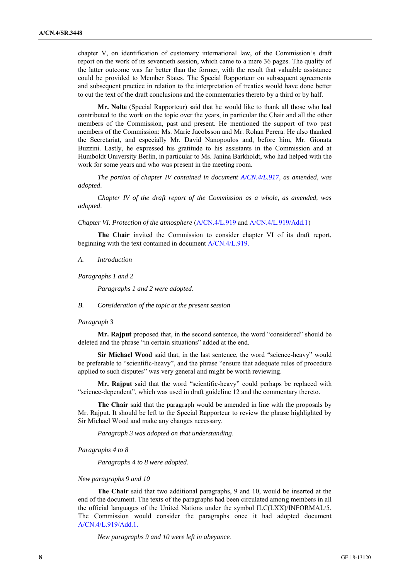chapter V, on identification of customary international law, of the Commission's draft report on the work of its seventieth session, which came to a mere 36 pages. The quality of the latter outcome was far better than the former, with the result that valuable assistance could be provided to Member States. The Special Rapporteur on subsequent agreements and subsequent practice in relation to the interpretation of treaties would have done better to cut the text of the draft conclusions and the commentaries thereto by a third or by half.

**Mr. Nolte** (Special Rapporteur) said that he would like to thank all those who had contributed to the work on the topic over the years, in particular the Chair and all the other members of the Commission, past and present. He mentioned the support of two past members of the Commission: Ms. Marie Jacobsson and Mr. Rohan Perera. He also thanked the Secretariat, and especially Mr. David Nanopoulos and, before him, Mr. Gionata Buzzini. Lastly, he expressed his gratitude to his assistants in the Commission and at Humboldt University Berlin, in particular to Ms. Janina Barkholdt, who had helped with the work for some years and who was present in the meeting room.

*The portion of chapter IV contained in document A/CN.4/L.917, as amended, was adopted*.

*Chapter IV of the draft report of the Commission as a whole, as amended, was adopted*.

*Chapter VI. Protection of the atmosphere* (A/CN.4/L.919 and A/CN.4/L.919/Add.1)

**The Chair** invited the Commission to consider chapter VI of its draft report, beginning with the text contained in document A/CN.4/L.919.

*A. Introduction*

*Paragraphs 1 and 2*

*Paragraphs 1 and 2 were adopted*.

*B. Consideration of the topic at the present session*

#### *Paragraph 3*

**Mr. Rajput** proposed that, in the second sentence, the word "considered" should be deleted and the phrase "in certain situations" added at the end.

**Sir Michael Wood** said that, in the last sentence, the word "science-heavy" would be preferable to "scientific-heavy", and the phrase "ensure that adequate rules of procedure applied to such disputes" was very general and might be worth reviewing.

**Mr. Rajput** said that the word "scientific-heavy" could perhaps be replaced with "science-dependent", which was used in draft guideline 12 and the commentary thereto.

**The Chair** said that the paragraph would be amended in line with the proposals by Mr. Rajput. It should be left to the Special Rapporteur to review the phrase highlighted by Sir Michael Wood and make any changes necessary.

*Paragraph 3 was adopted on that understanding*.

*Paragraphs 4 to 8*

*Paragraphs 4 to 8 were adopted*.

#### *New paragraphs 9 and 10*

**The Chair** said that two additional paragraphs, 9 and 10, would be inserted at the end of the document. The texts of the paragraphs had been circulated among members in all the official languages of the United Nations under the symbol ILC(LXX)/INFORMAL/5. The Commission would consider the paragraphs once it had adopted document A/CN.4/L.919/Add.1.

*New paragraphs 9 and 10 were left in abeyance*.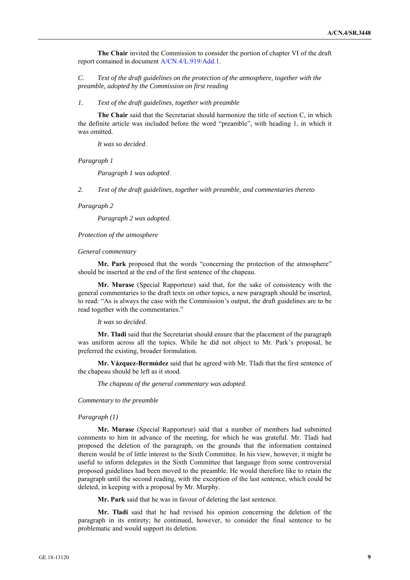**The Chair** invited the Commission to consider the portion of chapter VI of the draft report contained in document A/CN.4/L.919/Add.1.

*C. Text of the draft guidelines on the protection of the atmosphere, together with the preamble, adopted by the Commission on first reading*

*1. Text of the draft guidelines, together with preamble*

**The Chair** said that the Secretariat should harmonize the title of section C, in which the definite article was included before the word "preamble", with heading 1, in which it was omitted.

*It was so decided*.

*Paragraph 1*

*Paragraph 1 was adopted*.

*2. Text of the draft guidelines, together with preamble, and commentaries thereto*

*Paragraph 2*

*Paragraph 2 was adopted*.

*Protection of the atmosphere*

#### *General commentary*

**Mr. Park** proposed that the words "concerning the protection of the atmosphere" should be inserted at the end of the first sentence of the chapeau.

**Mr. Murase** (Special Rapporteur) said that, for the sake of consistency with the general commentaries to the draft texts on other topics, a new paragraph should be inserted, to read: "As is always the case with the Commission's output, the draft guidelines are to be read together with the commentaries."

#### *It was so decided*.

**Mr. Tladi** said that the Secretariat should ensure that the placement of the paragraph was uniform across all the topics. While he did not object to Mr. Park's proposal, he preferred the existing, broader formulation.

**Mr. Vázquez-Bermúdez** said that he agreed with Mr. Tladi that the first sentence of the chapeau should be left as it stood.

*The chapeau of the general commentary was adopted*.

*Commentary to the preamble*

#### *Paragraph (1)*

**Mr. Murase** (Special Rapporteur) said that a number of members had submitted comments to him in advance of the meeting, for which he was grateful. Mr. Tladi had proposed the deletion of the paragraph, on the grounds that the information contained therein would be of little interest to the Sixth Committee. In his view, however, it might be useful to inform delegates in the Sixth Committee that language from some controversial proposed guidelines had been moved to the preamble. He would therefore like to retain the paragraph until the second reading, with the exception of the last sentence, which could be deleted, in keeping with a proposal by Mr. Murphy.

**Mr. Park** said that he was in favour of deleting the last sentence.

**Mr. Tladi** said that he had revised his opinion concerning the deletion of the paragraph in its entirety; he continued, however, to consider the final sentence to be problematic and would support its deletion.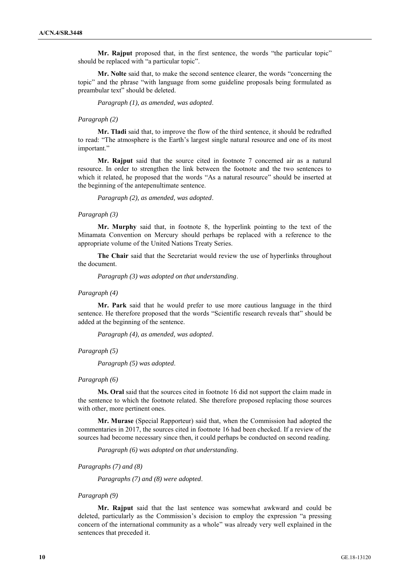**Mr. Rajput** proposed that, in the first sentence, the words "the particular topic" should be replaced with "a particular topic".

**Mr. Nolte** said that, to make the second sentence clearer, the words "concerning the topic" and the phrase "with language from some guideline proposals being formulated as preambular text" should be deleted.

*Paragraph (1), as amended, was adopted*.

#### *Paragraph (2)*

**Mr. Tladi** said that, to improve the flow of the third sentence, it should be redrafted to read: "The atmosphere is the Earth's largest single natural resource and one of its most important"

**Mr. Rajput** said that the source cited in footnote 7 concerned air as a natural resource. In order to strengthen the link between the footnote and the two sentences to which it related, he proposed that the words "As a natural resource" should be inserted at the beginning of the antepenultimate sentence.

*Paragraph (2), as amended, was adopted*.

#### *Paragraph (3)*

**Mr. Murphy** said that, in footnote 8, the hyperlink pointing to the text of the Minamata Convention on Mercury should perhaps be replaced with a reference to the appropriate volume of the United Nations Treaty Series.

**The Chair** said that the Secretariat would review the use of hyperlinks throughout the document.

*Paragraph (3) was adopted on that understanding*.

#### *Paragraph (4)*

**Mr. Park** said that he would prefer to use more cautious language in the third sentence. He therefore proposed that the words "Scientific research reveals that" should be added at the beginning of the sentence.

*Paragraph (4), as amended, was adopted*.

#### *Paragraph (5)*

*Paragraph (5) was adopted*.

#### *Paragraph (6)*

**Ms. Oral** said that the sources cited in footnote 16 did not support the claim made in the sentence to which the footnote related. She therefore proposed replacing those sources with other, more pertinent ones.

**Mr. Murase** (Special Rapporteur) said that, when the Commission had adopted the commentaries in 2017, the sources cited in footnote 16 had been checked. If a review of the sources had become necessary since then, it could perhaps be conducted on second reading.

*Paragraph (6) was adopted on that understanding*.

*Paragraphs (7) and (8)*

*Paragraphs (7) and (8) were adopted*.

#### *Paragraph (9)*

**Mr. Rajput** said that the last sentence was somewhat awkward and could be deleted, particularly as the Commission's decision to employ the expression "a pressing concern of the international community as a whole" was already very well explained in the sentences that preceded it.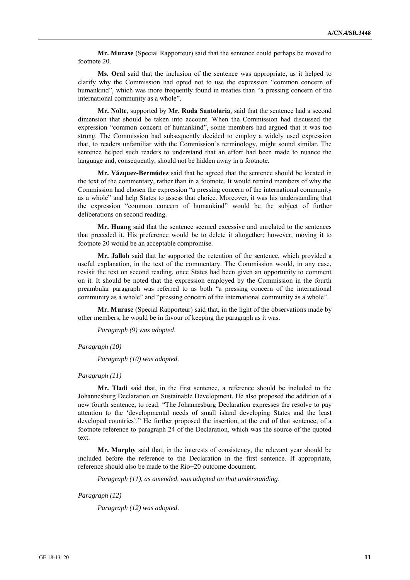**Mr. Murase** (Special Rapporteur) said that the sentence could perhaps be moved to footnote 20.

**Ms. Oral** said that the inclusion of the sentence was appropriate, as it helped to clarify why the Commission had opted not to use the expression "common concern of humankind", which was more frequently found in treaties than "a pressing concern of the international community as a whole".

**Mr. Nolte**, supported by **Mr. Ruda Santolaria**, said that the sentence had a second dimension that should be taken into account. When the Commission had discussed the expression "common concern of humankind", some members had argued that it was too strong. The Commission had subsequently decided to employ a widely used expression that, to readers unfamiliar with the Commission's terminology, might sound similar. The sentence helped such readers to understand that an effort had been made to nuance the language and, consequently, should not be hidden away in a footnote.

**Mr. Vázquez-Bermúdez** said that he agreed that the sentence should be located in the text of the commentary, rather than in a footnote. It would remind members of why the Commission had chosen the expression "a pressing concern of the international community as a whole" and help States to assess that choice. Moreover, it was his understanding that the expression "common concern of humankind" would be the subject of further deliberations on second reading.

**Mr. Huang** said that the sentence seemed excessive and unrelated to the sentences that preceded it. His preference would be to delete it altogether; however, moving it to footnote 20 would be an acceptable compromise.

**Mr. Jalloh** said that he supported the retention of the sentence, which provided a useful explanation, in the text of the commentary. The Commission would, in any case, revisit the text on second reading, once States had been given an opportunity to comment on it. It should be noted that the expression employed by the Commission in the fourth preambular paragraph was referred to as both "a pressing concern of the international community as a whole" and "pressing concern of the international community as a whole".

**Mr. Murase** (Special Rapporteur) said that, in the light of the observations made by other members, he would be in favour of keeping the paragraph as it was.

*Paragraph (9) was adopted*.

*Paragraph (10)*

*Paragraph (10) was adopted*.

*Paragraph (11)*

**Mr. Tladi** said that, in the first sentence, a reference should be included to the Johannesburg Declaration on Sustainable Development. He also proposed the addition of a new fourth sentence, to read: "The Johannesburg Declaration expresses the resolve to pay attention to the 'developmental needs of small island developing States and the least developed countries'." He further proposed the insertion, at the end of that sentence, of a footnote reference to paragraph 24 of the Declaration, which was the source of the quoted text.

**Mr. Murphy** said that, in the interests of consistency, the relevant year should be included before the reference to the Declaration in the first sentence. If appropriate, reference should also be made to the Rio+20 outcome document.

*Paragraph (11), as amended, was adopted on that understanding*.

*Paragraph (12)*

*Paragraph (12) was adopted*.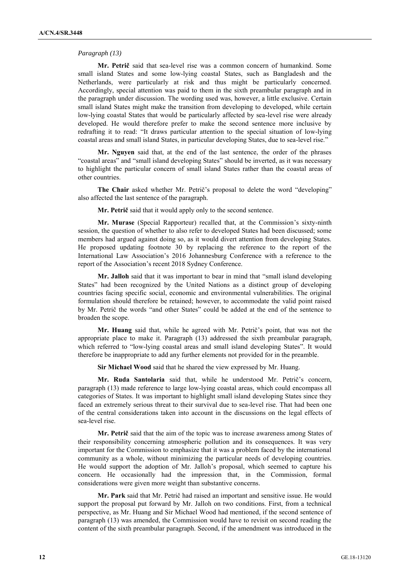#### *Paragraph (13)*

**Mr. Petrič** said that sea-level rise was a common concern of humankind. Some small island States and some low-lying coastal States, such as Bangladesh and the Netherlands, were particularly at risk and thus might be particularly concerned. Accordingly, special attention was paid to them in the sixth preambular paragraph and in the paragraph under discussion. The wording used was, however, a little exclusive. Certain small island States might make the transition from developing to developed, while certain low-lying coastal States that would be particularly affected by sea-level rise were already developed. He would therefore prefer to make the second sentence more inclusive by redrafting it to read: "It draws particular attention to the special situation of low-lying coastal areas and small island States, in particular developing States, due to sea-level rise."

**Mr. Nguyen** said that, at the end of the last sentence, the order of the phrases "coastal areas" and "small island developing States" should be inverted, as it was necessary to highlight the particular concern of small island States rather than the coastal areas of other countries.

**The Chair** asked whether Mr. Petrič's proposal to delete the word "developing" also affected the last sentence of the paragraph.

**Mr. Petrič** said that it would apply only to the second sentence.

**Mr. Murase** (Special Rapporteur) recalled that, at the Commission's sixty-ninth session, the question of whether to also refer to developed States had been discussed; some members had argued against doing so, as it would divert attention from developing States. He proposed updating footnote 30 by replacing the reference to the report of the International Law Association's 2016 Johannesburg Conference with a reference to the report of the Association's recent 2018 Sydney Conference.

**Mr. Jalloh** said that it was important to bear in mind that "small island developing States" had been recognized by the United Nations as a distinct group of developing countries facing specific social, economic and environmental vulnerabilities. The original formulation should therefore be retained; however, to accommodate the valid point raised by Mr. Petrič the words "and other States" could be added at the end of the sentence to broaden the scope.

**Mr. Huang** said that, while he agreed with Mr. Petrič's point, that was not the appropriate place to make it. Paragraph (13) addressed the sixth preambular paragraph, which referred to "low-lying coastal areas and small island developing States". It would therefore be inappropriate to add any further elements not provided for in the preamble.

**Sir Michael Wood** said that he shared the view expressed by Mr. Huang.

**Mr. Ruda Santolaria** said that, while he understood Mr. Petrič's concern, paragraph (13) made reference to large low-lying coastal areas, which could encompass all categories of States. It was important to highlight small island developing States since they faced an extremely serious threat to their survival due to sea-level rise. That had been one of the central considerations taken into account in the discussions on the legal effects of sea-level rise.

**Mr. Petrič** said that the aim of the topic was to increase awareness among States of their responsibility concerning atmospheric pollution and its consequences. It was very important for the Commission to emphasize that it was a problem faced by the international community as a whole, without minimizing the particular needs of developing countries. He would support the adoption of Mr. Jalloh's proposal, which seemed to capture his concern. He occasionally had the impression that, in the Commission, formal considerations were given more weight than substantive concerns.

**Mr. Park** said that Mr. Petrič had raised an important and sensitive issue. He would support the proposal put forward by Mr. Jalloh on two conditions. First, from a technical perspective, as Mr. Huang and Sir Michael Wood had mentioned, if the second sentence of paragraph (13) was amended, the Commission would have to revisit on second reading the content of the sixth preambular paragraph. Second, if the amendment was introduced in the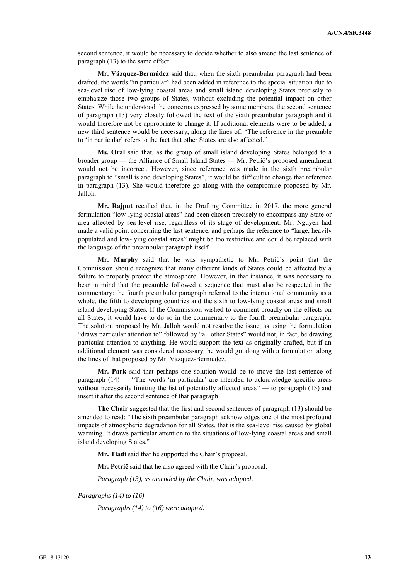second sentence, it would be necessary to decide whether to also amend the last sentence of paragraph (13) to the same effect.

**Mr. Vázquez-Bermúdez** said that, when the sixth preambular paragraph had been drafted, the words "in particular" had been added in reference to the special situation due to sea-level rise of low-lying coastal areas and small island developing States precisely to emphasize those two groups of States, without excluding the potential impact on other States. While he understood the concerns expressed by some members, the second sentence of paragraph (13) very closely followed the text of the sixth preambular paragraph and it would therefore not be appropriate to change it. If additional elements were to be added, a new third sentence would be necessary, along the lines of: "The reference in the preamble to 'in particular' refers to the fact that other States are also affected."

**Ms. Oral** said that, as the group of small island developing States belonged to a broader group — the Alliance of Small Island States — Mr. Petrič's proposed amendment would not be incorrect. However, since reference was made in the sixth preambular paragraph to "small island developing States", it would be difficult to change that reference in paragraph (13). She would therefore go along with the compromise proposed by Mr. Jalloh.

**Mr. Rajput** recalled that, in the Drafting Committee in 2017, the more general formulation "low-lying coastal areas" had been chosen precisely to encompass any State or area affected by sea-level rise, regardless of its stage of development. Mr. Nguyen had made a valid point concerning the last sentence, and perhaps the reference to "large, heavily populated and low-lying coastal areas" might be too restrictive and could be replaced with the language of the preambular paragraph itself.

**Mr. Murphy** said that he was sympathetic to Mr. Petrič's point that the Commission should recognize that many different kinds of States could be affected by a failure to properly protect the atmosphere. However, in that instance, it was necessary to bear in mind that the preamble followed a sequence that must also be respected in the commentary: the fourth preambular paragraph referred to the international community as a whole, the fifth to developing countries and the sixth to low-lying coastal areas and small island developing States. If the Commission wished to comment broadly on the effects on all States, it would have to do so in the commentary to the fourth preambular paragraph. The solution proposed by Mr. Jalloh would not resolve the issue, as using the formulation "draws particular attention to" followed by "all other States" would not, in fact, be drawing particular attention to anything. He would support the text as originally drafted, but if an additional element was considered necessary, he would go along with a formulation along the lines of that proposed by Mr. Vázquez-Bermúdez.

**Mr. Park** said that perhaps one solution would be to move the last sentence of paragraph (14) — "The words 'in particular' are intended to acknowledge specific areas without necessarily limiting the list of potentially affected areas" — to paragraph (13) and insert it after the second sentence of that paragraph.

**The Chair** suggested that the first and second sentences of paragraph (13) should be amended to read: "The sixth preambular paragraph acknowledges one of the most profound impacts of atmospheric degradation for all States, that is the sea-level rise caused by global warming. It draws particular attention to the situations of low-lying coastal areas and small island developing States."

**Mr. Tladi** said that he supported the Chair's proposal.

**Mr. Petrič** said that he also agreed with the Chair's proposal.

*Paragraph (13), as amended by the Chair, was adopted*.

*Paragraphs (14) to (16)*

*Paragraphs (14) to (16) were adopted.*